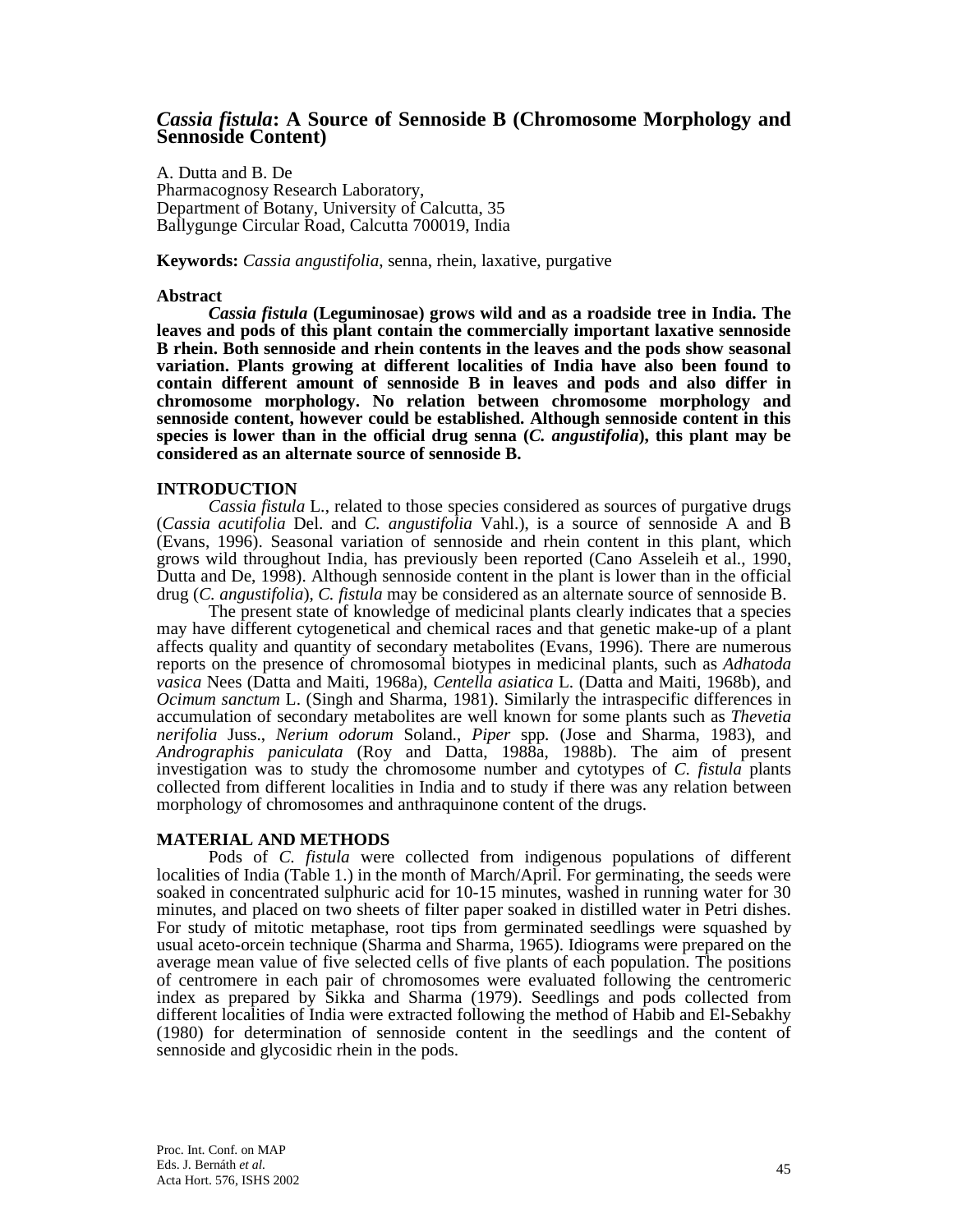# *Cassia fistula***: A Source of Sennoside B (Chromosome Morphology and Sennoside Content)**

A. Dutta and B. De Pharmacognosy Research Laboratory, Department of Botany, University of Calcutta, 35 Ballygunge Circular Road, Calcutta 700019, India

**Keywords:** *Cassia angustifolia*, senna, rhein, laxative, purgative

#### **Abstract**

 *Cassia fistula* **(Leguminosae) grows wild and as a roadside tree in India. The leaves and pods of this plant contain the commercially important laxative sennoside B rhein. Both sennoside and rhein contents in the leaves and the pods show seasonal variation. Plants growing at different localities of India have also been found to contain different amount of sennoside B in leaves and pods and also differ in chromosome morphology. No relation between chromosome morphology and sennoside content, however could be established. Although sennoside content in this species is lower than in the official drug senna (***C. angustifolia***), this plant may be considered as an alternate source of sennoside B.** 

#### **INTRODUCTION**

 *Cassia fistula* L., related to those species considered as sources of purgative drugs (*Cassia acutifolia* Del. and *C. angustifolia* Vahl.), is a source of sennoside A and B (Evans, 1996). Seasonal variation of sennoside and rhein content in this plant, which grows wild throughout India, has previously been reported (Cano Asseleih et al., 1990, Dutta and De, 1998). Although sennoside content in the plant is lower than in the official drug (*C. angustifolia*), *C. fistula* may be considered as an alternate source of sennoside B.

 The present state of knowledge of medicinal plants clearly indicates that a species may have different cytogenetical and chemical races and that genetic make-up of a plant affects quality and quantity of secondary metabolites (Evans, 1996). There are numerous reports on the presence of chromosomal biotypes in medicinal plants, such as *Adhatoda vasica* Nees (Datta and Maiti, 1968a), *Centella asiatica* L. (Datta and Maiti, 1968b), and *Ocimum sanctum* L. (Singh and Sharma, 1981). Similarly the intraspecific differences in accumulation of secondary metabolites are well known for some plants such as *Thevetia nerifolia* Juss., *Nerium odorum* Soland., *Piper* spp*.* (Jose and Sharma, 1983), and *Andrographis paniculata* (Roy and Datta, 1988a, 1988b). The aim of present investigation was to study the chromosome number and cytotypes of *C. fistula* plants collected from different localities in India and to study if there was any relation between morphology of chromosomes and anthraquinone content of the drugs.

### **MATERIAL AND METHODS**

 Pods of *C. fistula* were collected from indigenous populations of different localities of India (Table 1.) in the month of March/April. For germinating, the seeds were soaked in concentrated sulphuric acid for 10-15 minutes, washed in running water for 30 minutes, and placed on two sheets of filter paper soaked in distilled water in Petri dishes. For study of mitotic metaphase, root tips from germinated seedlings were squashed by usual aceto-orcein technique (Sharma and Sharma, 1965). Idiograms were prepared on the average mean value of five selected cells of five plants of each population. The positions of centromere in each pair of chromosomes were evaluated following the centromeric index as prepared by Sikka and Sharma (1979). Seedlings and pods collected from different localities of India were extracted following the method of Habib and El-Sebakhy (1980) for determination of sennoside content in the seedlings and the content of sennoside and glycosidic rhein in the pods.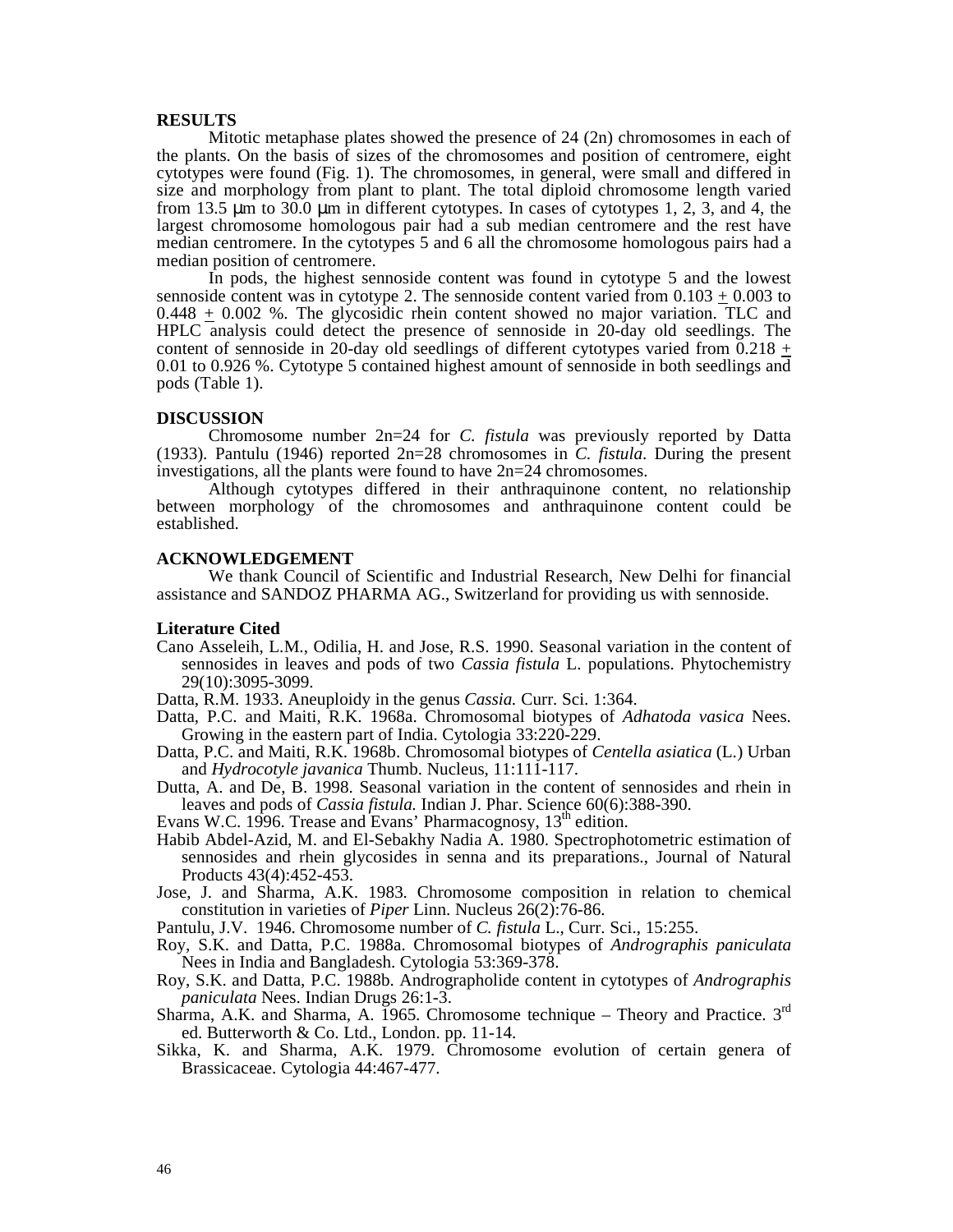### **RESULTS**

 Mitotic metaphase plates showed the presence of 24 (2n) chromosomes in each of the plants. On the basis of sizes of the chromosomes and position of centromere, eight cytotypes were found (Fig. 1). The chromosomes, in general, were small and differed in size and morphology from plant to plant. The total diploid chromosome length varied from 13.5 µm to 30.0 µm in different cytotypes. In cases of cytotypes 1, 2, 3, and 4, the largest chromosome homologous pair had a sub median centromere and the rest have median centromere. In the cytotypes 5 and 6 all the chromosome homologous pairs had a median position of centromere.

 In pods, the highest sennoside content was found in cytotype 5 and the lowest sennoside content was in cytotype 2. The sennoside content varied from  $0.103 + 0.003$  to 0.448 + 0.002 %. The glycosidic rhein content showed no major variation. TLC and HPLC analysis could detect the presence of sennoside in 20-day old seedlings. The content of sennoside in 20-day old seedlings of different cytotypes varied from  $0.218 +$ 0.01 to 0.926 %. Cytotype 5 contained highest amount of sennoside in both seedlings and pods (Table 1).

#### **DISCUSSION**

 Chromosome number 2n=24 for *C. fistula* was previously reported by Datta (1933)*.* Pantulu (1946) reported 2n=28 chromosomes in *C. fistula*. During the present investigations, all the plants were found to have 2n=24 chromosomes.

 Although cytotypes differed in their anthraquinone content, no relationship between morphology of the chromosomes and anthraquinone content could be established.

#### **ACKNOWLEDGEMENT**

 We thank Council of Scientific and Industrial Research, New Delhi for financial assistance and SANDOZ PHARMA AG., Switzerland for providing us with sennoside.

#### **Literature Cited**

Cano Asseleih, L.M., Odilia, H. and Jose, R.S. 1990. Seasonal variation in the content of sennosides in leaves and pods of two *Cassia fistula* L. populations. Phytochemistry 29(10):3095-3099.

Datta, R.M. 1933. Aneuploidy in the genus *Cassia.* Curr. Sci. 1:364.

- Datta, P.C. and Maiti, R.K. 1968a. Chromosomal biotypes of *Adhatoda vasica* Nees. Growing in the eastern part of India. Cytologia 33:220-229.
- Datta, P.C. and Maiti, R.K. 1968b. Chromosomal biotypes of *Centella asiatica* (L.) Urban and *Hydrocotyle javanica* Thumb. Nucleus, 11:111-117.
- Dutta, A. and De, B. 1998. Seasonal variation in the content of sennosides and rhein in leaves and pods of *Cassia fistula.* Indian J. Phar. Science 60(6):388-390.

Evans W.C. 1996. Trease and Evans' Pharmacognosy, 13<sup>th</sup> edition.

- Habib Abdel-Azid, M. and El-Sebakhy Nadia A. 1980. Spectrophotometric estimation of sennosides and rhein glycosides in senna and its preparations., Journal of Natural Products 43(4):452-453.
- Jose, J. and Sharma, A.K. 1983. Chromosome composition in relation to chemical constitution in varieties of *Piper* Linn. Nucleus 26(2):76-86.

Pantulu, J.V. 1946. Chromosome number of *C. fistula* L., Curr. Sci., 15:255.

- Roy, S.K. and Datta, P.C. 1988a. Chromosomal biotypes of *Andrographis paniculata* Nees in India and Bangladesh. Cytologia 53:369-378.
- Roy, S.K. and Datta, P.C. 1988b. Andrographolide content in cytotypes of *Andrographis paniculata* Nees. Indian Drugs 26:1-3.
- Sharma, A.K. and Sharma, A. 1965. Chromosome technique Theory and Practice.  $3<sup>rd</sup>$ ed. Butterworth & Co. Ltd., London. pp. 11-14.
- Sikka, K. and Sharma, A.K. 1979. Chromosome evolution of certain genera of Brassicaceae. Cytologia 44:467-477.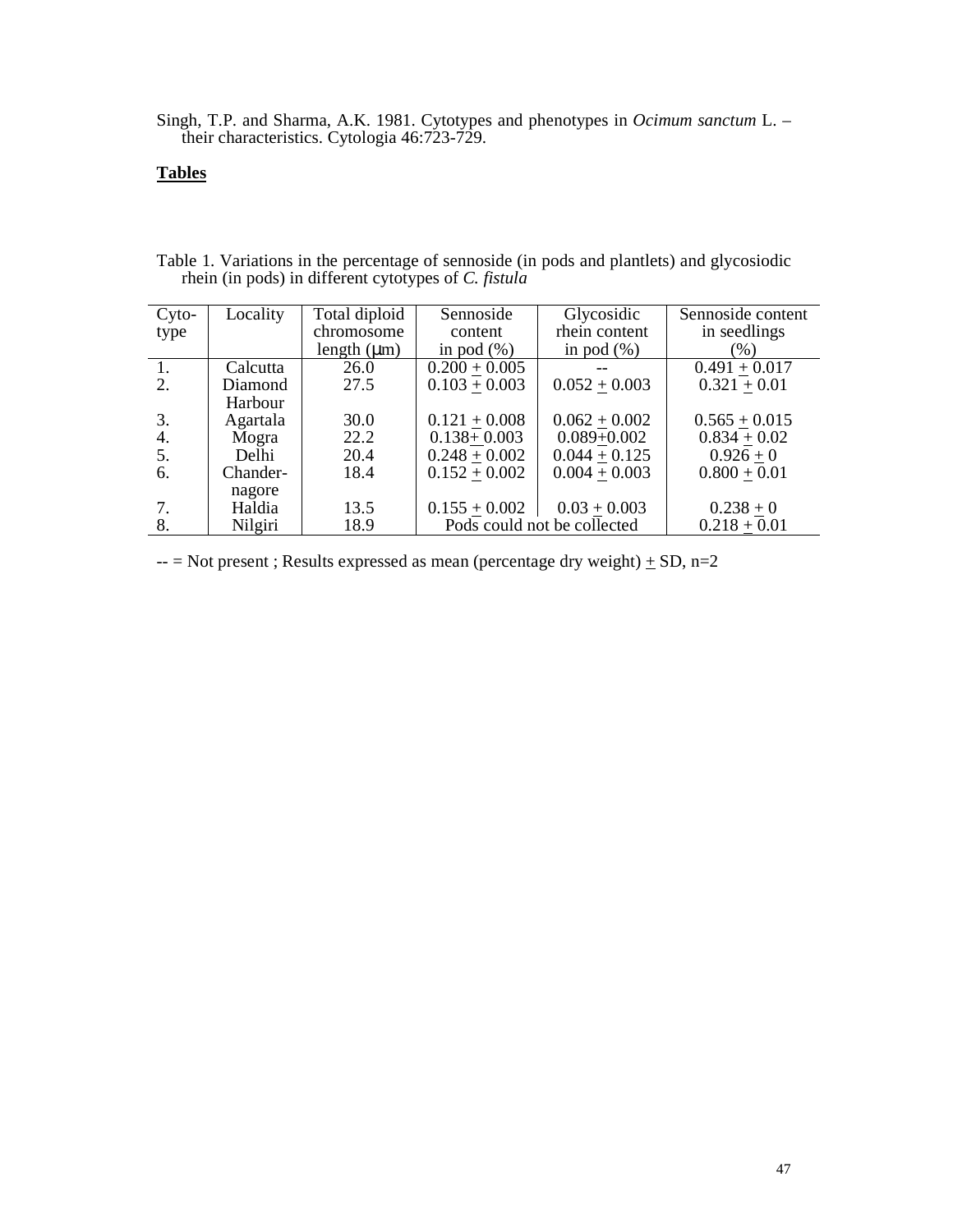Singh, T.P. and Sharma, A.K. 1981. Cytotypes and phenotypes in *Ocimum sanctum* L. – their characteristics. Cytologia 46:723-729.

## **Tables**

| $Cyto-$ | Locality | Total diploid    | Sennoside                   | Glycosidic      | Sennoside content |  |  |
|---------|----------|------------------|-----------------------------|-----------------|-------------------|--|--|
| type    |          | chromosome       | content                     | rhein content   | in seedlings      |  |  |
|         |          | length $(\mu m)$ | in pod $(\%)$               | in pod $(\%)$   | (% )              |  |  |
| 1.      | Calcutta | 26.0             | $0.200 + 0.005$             |                 | $0.491 + 0.017$   |  |  |
| 2.      | Diamond  | 27.5             | $0.103 + 0.003$             | $0.052 + 0.003$ | $0.321 + 0.01$    |  |  |
|         | Harbour  |                  |                             |                 |                   |  |  |
| 3.      | Agartala | 30.0             | $0.121 + 0.008$             | $0.062 + 0.002$ | $0.565 + 0.015$   |  |  |
| 4.      | Mogra    | 22.2             | $0.138 + 0.003$             | $0.089 + 0.002$ | $0.834 + 0.02$    |  |  |
| 5.      | Delhi    | 20.4             | $0.248 + 0.002$             | $0.044 + 0.125$ | $0.926 + 0$       |  |  |
| 6.      | Chander- | 18.4             | $0.152 + 0.002$             | $0.004 + 0.003$ | $0.800 + 0.01$    |  |  |
|         | nagore   |                  |                             |                 |                   |  |  |
| 7.      | Haldia   | 13.5             | $0.155 + 0.002$             | $0.03 + 0.003$  | $0.238 + 0$       |  |  |
| 8.      | Nilgiri  | 18.9             | Pods could not be collected | $0.218 + 0.01$  |                   |  |  |

| Table 1. Variations in the percentage of sennoside (in pods and plantlets) and glycosiodic |  |  |  |  |
|--------------------------------------------------------------------------------------------|--|--|--|--|
| rhein (in pods) in different cytotypes of C. fistula                                       |  |  |  |  |

 $--$  Not present; Results expressed as mean (percentage dry weight)  $\pm$  SD, n=2